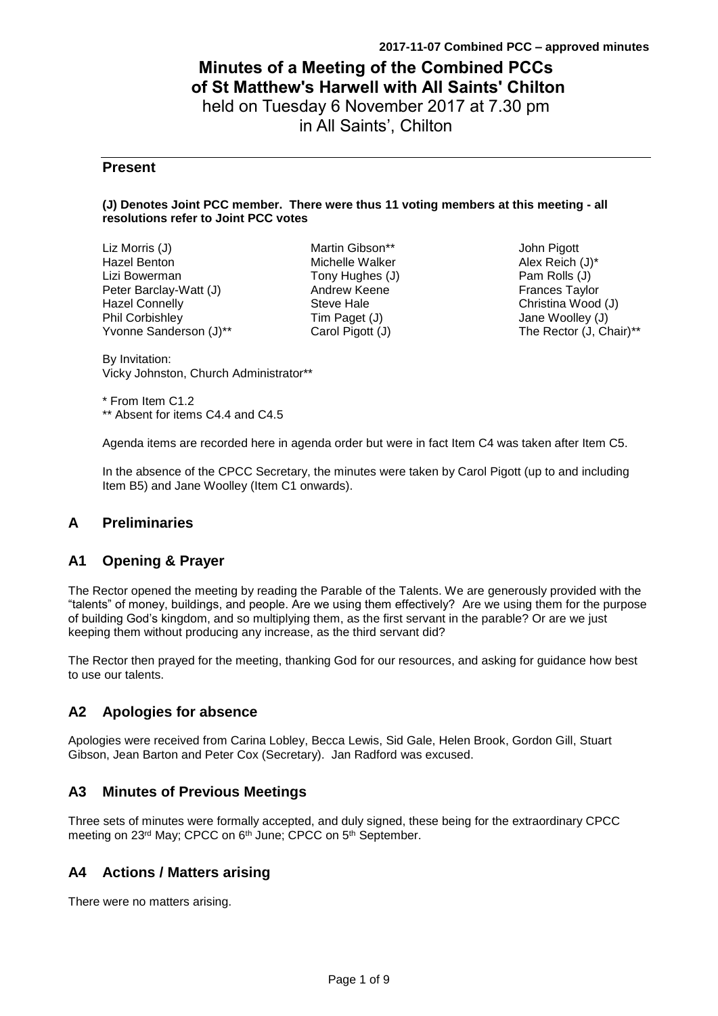# **Minutes of a Meeting of the Combined PCCs of St Matthew's Harwell with All Saints' Chilton** held on Tuesday 6 November 2017 at 7.30 pm

in All Saints', Chilton

### **Present**

#### **(J) Denotes Joint PCC member. There were thus 11 voting members at this meeting - all resolutions refer to Joint PCC votes**

Liz Morris (J) Hazel Benton Lizi Bowerman Peter Barclay-Watt (J) Hazel Connelly Phil Corbishley Yvonne Sanderson (J)\*\*

Martin Gibson\*\* Michelle Walker Tony Hughes (J) Andrew Keene Steve Hale Tim Paget (J) Carol Pigott (J)

John Pigott Alex Reich (J)\* Pam Rolls (J) Frances Taylor Christina Wood (J) Jane Woolley (J) The Rector (J, Chair)\*\*

By Invitation: Vicky Johnston, Church Administrator\*\*

\* From Item C1.2 \*\* Absent for items C4.4 and C4.5

Agenda items are recorded here in agenda order but were in fact Item C4 was taken after Item C5.

In the absence of the CPCC Secretary, the minutes were taken by Carol Pigott (up to and including Item B5) and Jane Woolley (Item C1 onwards).

## **A Preliminaries**

### **A1 Opening & Prayer**

The Rector opened the meeting by reading the Parable of the Talents. We are generously provided with the "talents" of money, buildings, and people. Are we using them effectively? Are we using them for the purpose of building God's kingdom, and so multiplying them, as the first servant in the parable? Or are we just keeping them without producing any increase, as the third servant did?

The Rector then prayed for the meeting, thanking God for our resources, and asking for guidance how best to use our talents.

## **A2 Apologies for absence**

Apologies were received from Carina Lobley, Becca Lewis, Sid Gale, Helen Brook, Gordon Gill, Stuart Gibson, Jean Barton and Peter Cox (Secretary). Jan Radford was excused.

### **A3 Minutes of Previous Meetings**

Three sets of minutes were formally accepted, and duly signed, these being for the extraordinary CPCC meeting on 23rd May; CPCC on 6<sup>th</sup> June; CPCC on 5<sup>th</sup> September.

### **A4 Actions / Matters arising**

There were no matters arising.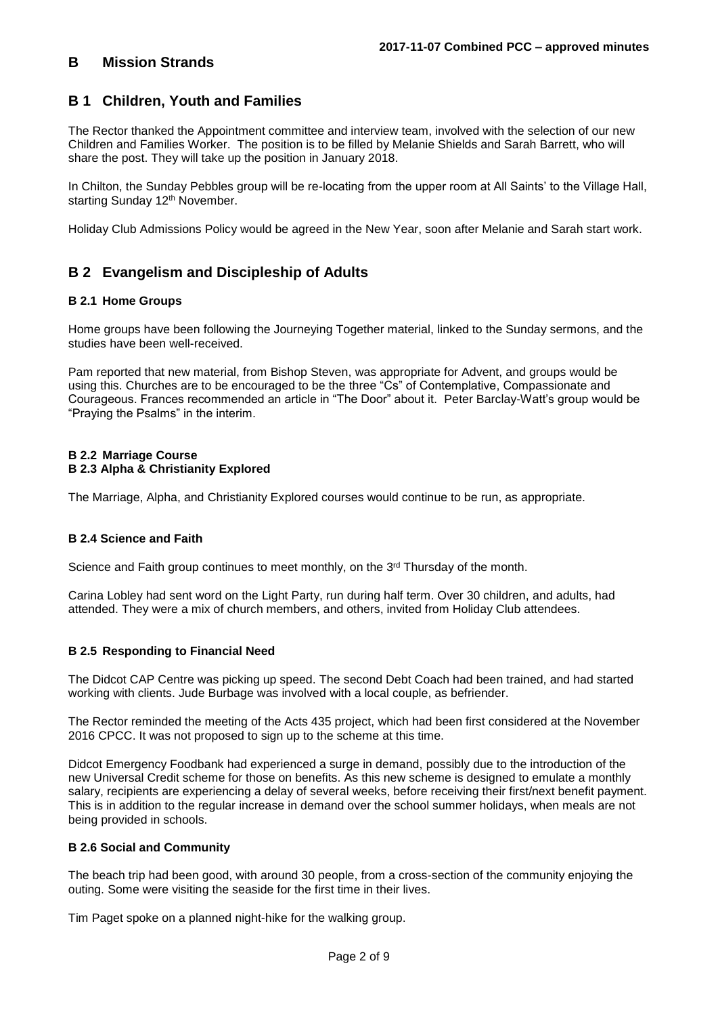### **B Mission Strands**

### **B 1 Children, Youth and Families**

The Rector thanked the Appointment committee and interview team, involved with the selection of our new Children and Families Worker. The position is to be filled by Melanie Shields and Sarah Barrett, who will share the post. They will take up the position in January 2018.

In Chilton, the Sunday Pebbles group will be re-locating from the upper room at All Saints' to the Village Hall, starting Sunday 12<sup>th</sup> November.

Holiday Club Admissions Policy would be agreed in the New Year, soon after Melanie and Sarah start work.

## **B 2 Evangelism and Discipleship of Adults**

#### **B 2.1 Home Groups**

Home groups have been following the Journeying Together material, linked to the Sunday sermons, and the studies have been well-received.

Pam reported that new material, from Bishop Steven, was appropriate for Advent, and groups would be using this. Churches are to be encouraged to be the three "Cs" of Contemplative, Compassionate and Courageous. Frances recommended an article in "The Door" about it. Peter Barclay-Watt's group would be "Praying the Psalms" in the interim.

#### **B 2.2 Marriage Course B 2.3 Alpha & Christianity Explored**

The Marriage, Alpha, and Christianity Explored courses would continue to be run, as appropriate.

#### **B 2.4 Science and Faith**

Science and Faith group continues to meet monthly, on the  $3<sup>rd</sup>$  Thursday of the month.

Carina Lobley had sent word on the Light Party, run during half term. Over 30 children, and adults, had attended. They were a mix of church members, and others, invited from Holiday Club attendees.

#### **B 2.5 Responding to Financial Need**

The Didcot CAP Centre was picking up speed. The second Debt Coach had been trained, and had started working with clients. Jude Burbage was involved with a local couple, as befriender.

The Rector reminded the meeting of the Acts 435 project, which had been first considered at the November 2016 CPCC. It was not proposed to sign up to the scheme at this time.

Didcot Emergency Foodbank had experienced a surge in demand, possibly due to the introduction of the new Universal Credit scheme for those on benefits. As this new scheme is designed to emulate a monthly salary, recipients are experiencing a delay of several weeks, before receiving their first/next benefit payment. This is in addition to the regular increase in demand over the school summer holidays, when meals are not being provided in schools.

#### **B 2.6 Social and Community**

The beach trip had been good, with around 30 people, from a cross-section of the community enjoying the outing. Some were visiting the seaside for the first time in their lives.

Tim Paget spoke on a planned night-hike for the walking group.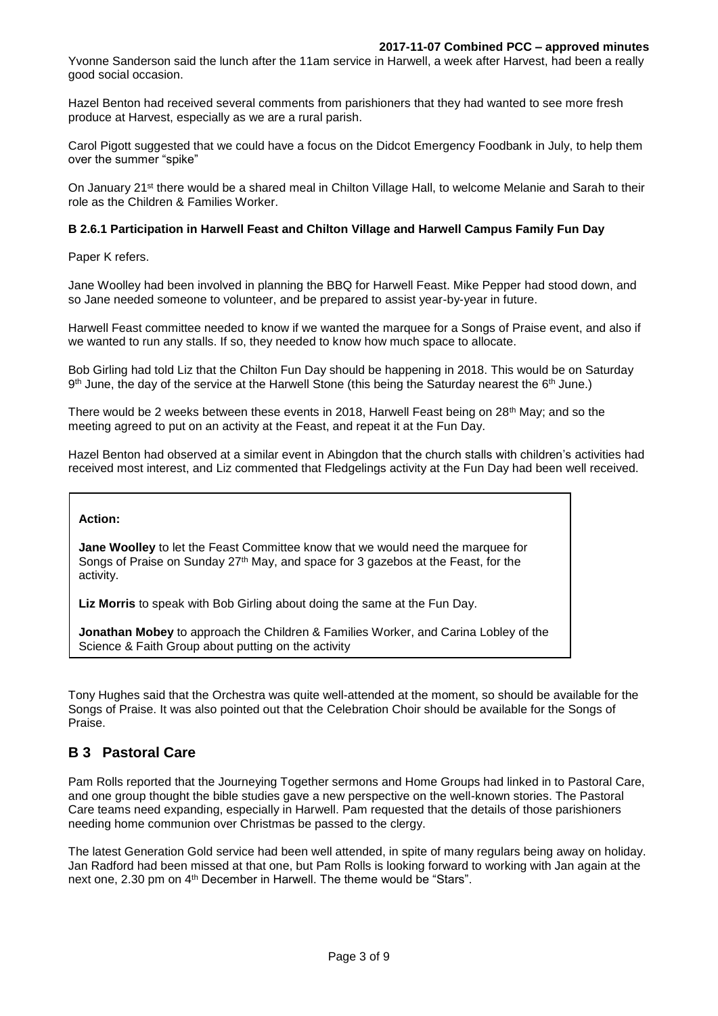Yvonne Sanderson said the lunch after the 11am service in Harwell, a week after Harvest, had been a really good social occasion.

Hazel Benton had received several comments from parishioners that they had wanted to see more fresh produce at Harvest, especially as we are a rural parish.

Carol Pigott suggested that we could have a focus on the Didcot Emergency Foodbank in July, to help them over the summer "spike"

On January 21st there would be a shared meal in Chilton Village Hall, to welcome Melanie and Sarah to their role as the Children & Families Worker.

#### **B 2.6.1 Participation in Harwell Feast and Chilton Village and Harwell Campus Family Fun Day**

Paper K refers.

Jane Woolley had been involved in planning the BBQ for Harwell Feast. Mike Pepper had stood down, and so Jane needed someone to volunteer, and be prepared to assist year-by-year in future.

Harwell Feast committee needed to know if we wanted the marquee for a Songs of Praise event, and also if we wanted to run any stalls. If so, they needed to know how much space to allocate.

Bob Girling had told Liz that the Chilton Fun Day should be happening in 2018. This would be on Saturday  $9<sup>th</sup>$  June, the day of the service at the Harwell Stone (this being the Saturday nearest the 6<sup>th</sup> June.)

There would be 2 weeks between these events in 2018, Harwell Feast being on 28th May; and so the meeting agreed to put on an activity at the Feast, and repeat it at the Fun Day.

Hazel Benton had observed at a similar event in Abingdon that the church stalls with children's activities had received most interest, and Liz commented that Fledgelings activity at the Fun Day had been well received.

#### **Action:**

**Jane Woolley** to let the Feast Committee know that we would need the marquee for Songs of Praise on Sunday 27<sup>th</sup> May, and space for 3 gazebos at the Feast, for the activity.

**Liz Morris** to speak with Bob Girling about doing the same at the Fun Day.

**Jonathan Mobey** to approach the Children & Families Worker, and Carina Lobley of the Science & Faith Group about putting on the activity

Tony Hughes said that the Orchestra was quite well-attended at the moment, so should be available for the Songs of Praise. It was also pointed out that the Celebration Choir should be available for the Songs of Praise.

## **B 3 Pastoral Care**

Pam Rolls reported that the Journeying Together sermons and Home Groups had linked in to Pastoral Care, and one group thought the bible studies gave a new perspective on the well-known stories. The Pastoral Care teams need expanding, especially in Harwell. Pam requested that the details of those parishioners needing home communion over Christmas be passed to the clergy.

The latest Generation Gold service had been well attended, in spite of many regulars being away on holiday. Jan Radford had been missed at that one, but Pam Rolls is looking forward to working with Jan again at the next one, 2.30 pm on 4<sup>th</sup> December in Harwell. The theme would be "Stars".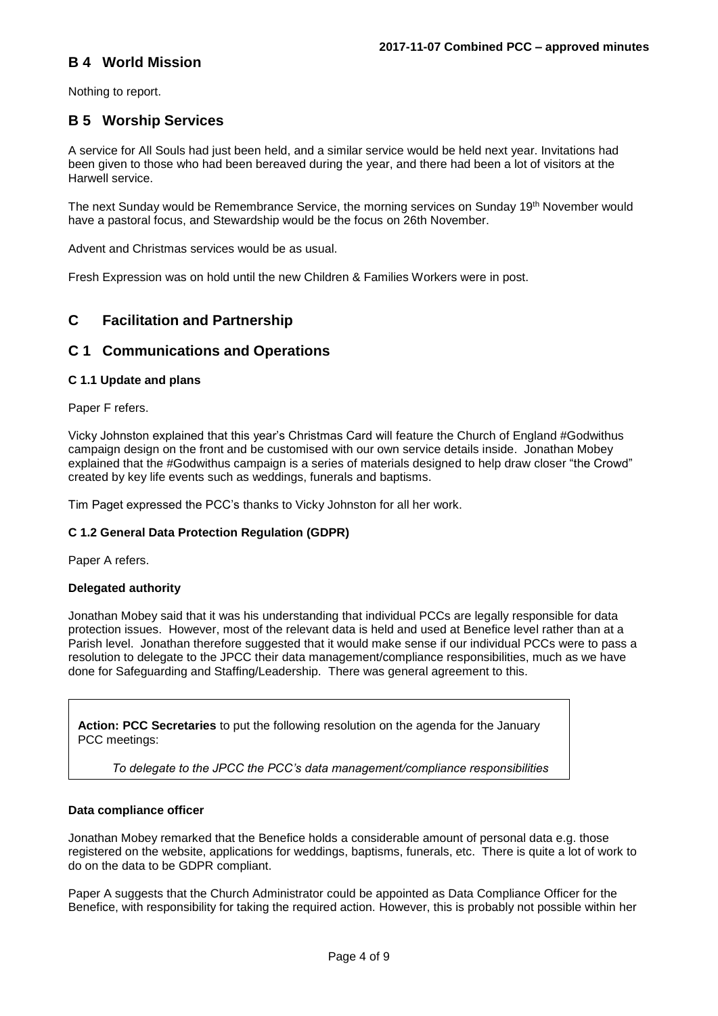## **B 4 World Mission**

Nothing to report.

### **B 5 Worship Services**

A service for All Souls had just been held, and a similar service would be held next year. Invitations had been given to those who had been bereaved during the year, and there had been a lot of visitors at the Harwell service.

The next Sunday would be Remembrance Service, the morning services on Sunday 19th November would have a pastoral focus, and Stewardship would be the focus on 26th November.

Advent and Christmas services would be as usual.

Fresh Expression was on hold until the new Children & Families Workers were in post.

## **C Facilitation and Partnership**

### **C 1 Communications and Operations**

#### **C 1.1 Update and plans**

Paper F refers.

Vicky Johnston explained that this year's Christmas Card will feature the Church of England #Godwithus campaign design on the front and be customised with our own service details inside. Jonathan Mobey explained that the #Godwithus campaign is a series of materials designed to help draw closer "the Crowd" created by key life events such as weddings, funerals and baptisms.

Tim Paget expressed the PCC's thanks to Vicky Johnston for all her work.

#### **C 1.2 General Data Protection Regulation (GDPR)**

Paper A refers.

#### **Delegated authority**

Jonathan Mobey said that it was his understanding that individual PCCs are legally responsible for data protection issues. However, most of the relevant data is held and used at Benefice level rather than at a Parish level. Jonathan therefore suggested that it would make sense if our individual PCCs were to pass a resolution to delegate to the JPCC their data management/compliance responsibilities, much as we have done for Safeguarding and Staffing/Leadership. There was general agreement to this.

**Action: PCC Secretaries** to put the following resolution on the agenda for the January PCC meetings:

*To delegate to the JPCC the PCC's data management/compliance responsibilities*

#### **Data compliance officer**

Jonathan Mobey remarked that the Benefice holds a considerable amount of personal data e.g. those registered on the website, applications for weddings, baptisms, funerals, etc. There is quite a lot of work to do on the data to be GDPR compliant.

Paper A suggests that the Church Administrator could be appointed as Data Compliance Officer for the Benefice, with responsibility for taking the required action. However, this is probably not possible within her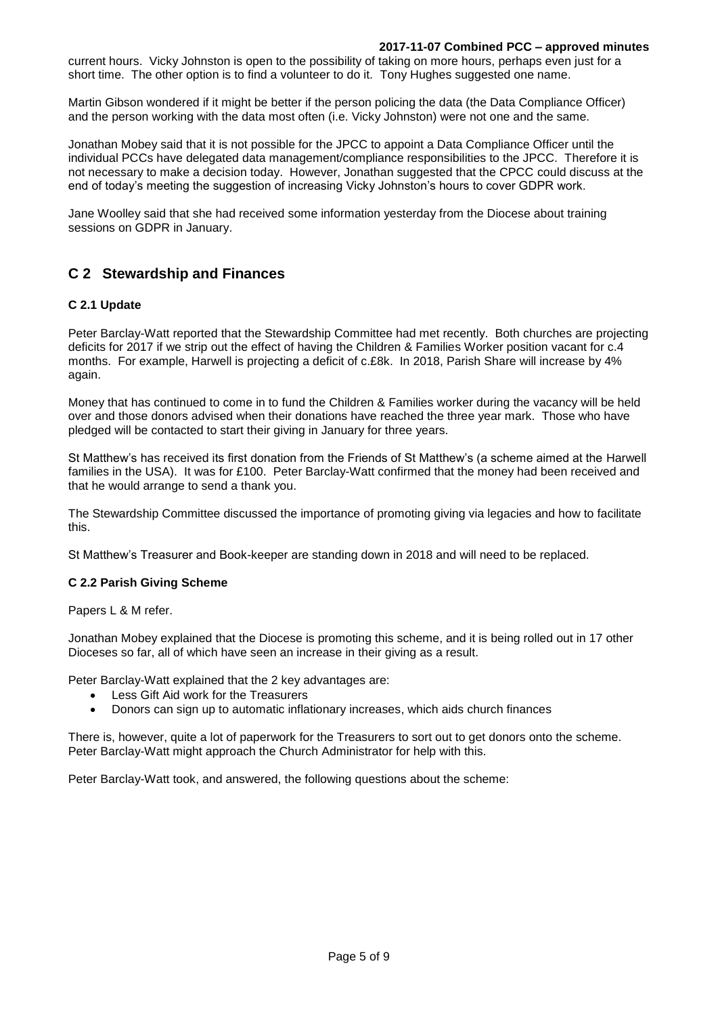#### **2017-11-07 Combined PCC – approved minutes**

current hours. Vicky Johnston is open to the possibility of taking on more hours, perhaps even just for a short time. The other option is to find a volunteer to do it. Tony Hughes suggested one name.

Martin Gibson wondered if it might be better if the person policing the data (the Data Compliance Officer) and the person working with the data most often (i.e. Vicky Johnston) were not one and the same.

Jonathan Mobey said that it is not possible for the JPCC to appoint a Data Compliance Officer until the individual PCCs have delegated data management/compliance responsibilities to the JPCC. Therefore it is not necessary to make a decision today. However, Jonathan suggested that the CPCC could discuss at the end of today's meeting the suggestion of increasing Vicky Johnston's hours to cover GDPR work.

Jane Woolley said that she had received some information yesterday from the Diocese about training sessions on GDPR in January.

### **C 2 Stewardship and Finances**

#### **C 2.1 Update**

Peter Barclay-Watt reported that the Stewardship Committee had met recently. Both churches are projecting deficits for 2017 if we strip out the effect of having the Children & Families Worker position vacant for c.4 months. For example, Harwell is projecting a deficit of c.£8k. In 2018, Parish Share will increase by 4% again.

Money that has continued to come in to fund the Children & Families worker during the vacancy will be held over and those donors advised when their donations have reached the three year mark. Those who have pledged will be contacted to start their giving in January for three years.

St Matthew's has received its first donation from the Friends of St Matthew's (a scheme aimed at the Harwell families in the USA). It was for £100. Peter Barclay-Watt confirmed that the money had been received and that he would arrange to send a thank you.

The Stewardship Committee discussed the importance of promoting giving via legacies and how to facilitate this.

St Matthew's Treasurer and Book-keeper are standing down in 2018 and will need to be replaced.

#### **C 2.2 Parish Giving Scheme**

Papers L & M refer.

Jonathan Mobey explained that the Diocese is promoting this scheme, and it is being rolled out in 17 other Dioceses so far, all of which have seen an increase in their giving as a result.

Peter Barclay-Watt explained that the 2 key advantages are:

- Less Gift Aid work for the Treasurers
- Donors can sign up to automatic inflationary increases, which aids church finances

There is, however, quite a lot of paperwork for the Treasurers to sort out to get donors onto the scheme. Peter Barclay-Watt might approach the Church Administrator for help with this.

Peter Barclay-Watt took, and answered, the following questions about the scheme: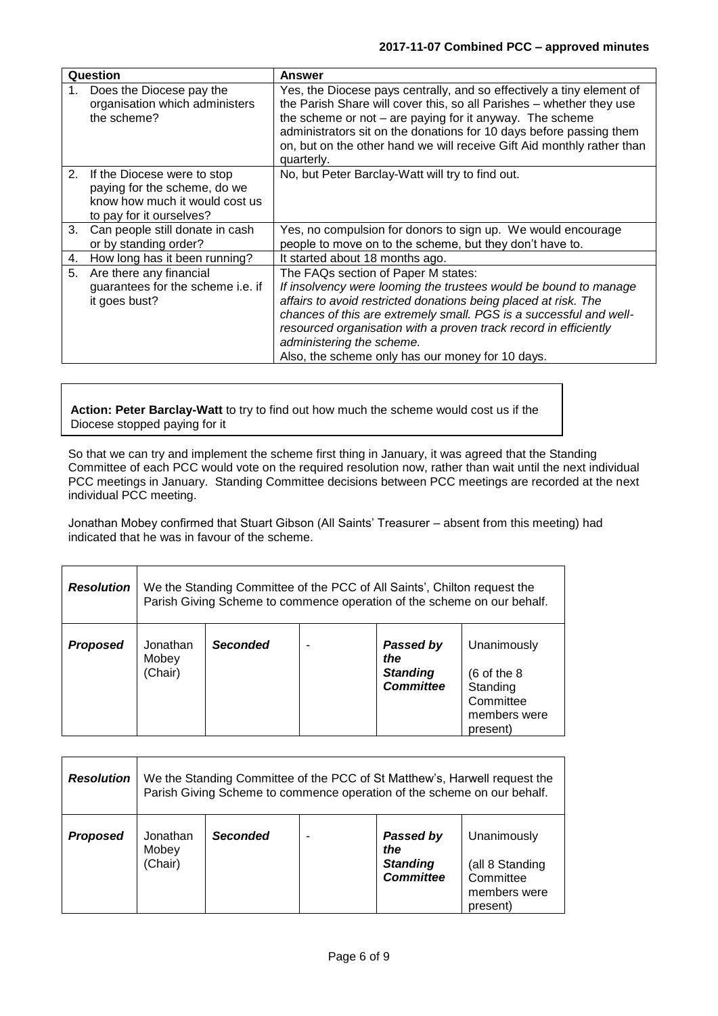| Question |                                                                                                                              | Answer                                                                                                                                                                                                                                                                                                                                                                                                |
|----------|------------------------------------------------------------------------------------------------------------------------------|-------------------------------------------------------------------------------------------------------------------------------------------------------------------------------------------------------------------------------------------------------------------------------------------------------------------------------------------------------------------------------------------------------|
| $1_{-}$  | Does the Diocese pay the<br>organisation which administers<br>the scheme?                                                    | Yes, the Diocese pays centrally, and so effectively a tiny element of<br>the Parish Share will cover this, so all Parishes - whether they use<br>the scheme or not $-$ are paying for it anyway. The scheme<br>administrators sit on the donations for 10 days before passing them<br>on, but on the other hand we will receive Gift Aid monthly rather than<br>quarterly.                            |
|          | 2. If the Diocese were to stop<br>paying for the scheme, do we<br>know how much it would cost us<br>to pay for it ourselves? | No, but Peter Barclay-Watt will try to find out.                                                                                                                                                                                                                                                                                                                                                      |
| 3.       | Can people still donate in cash<br>or by standing order?                                                                     | Yes, no compulsion for donors to sign up. We would encourage<br>people to move on to the scheme, but they don't have to.                                                                                                                                                                                                                                                                              |
| 4.       | How long has it been running?                                                                                                | It started about 18 months ago.                                                                                                                                                                                                                                                                                                                                                                       |
| 5.       | Are there any financial<br>guarantees for the scheme i.e. if<br>it goes bust?                                                | The FAQs section of Paper M states:<br>If insolvency were looming the trustees would be bound to manage<br>affairs to avoid restricted donations being placed at risk. The<br>chances of this are extremely small. PGS is a successful and well-<br>resourced organisation with a proven track record in efficiently<br>administering the scheme.<br>Also, the scheme only has our money for 10 days. |

**Action: Peter Barclay-Watt** to try to find out how much the scheme would cost us if the Diocese stopped paying for it

So that we can try and implement the scheme first thing in January, it was agreed that the Standing Committee of each PCC would vote on the required resolution now, rather than wait until the next individual PCC meetings in January. Standing Committee decisions between PCC meetings are recorded at the next individual PCC meeting.

Jonathan Mobey confirmed that Stuart Gibson (All Saints' Treasurer – absent from this meeting) had indicated that he was in favour of the scheme.

| <b>Resolution</b> | We the Standing Committee of the PCC of All Saints', Chilton request the<br>Parish Giving Scheme to commence operation of the scheme on our behalf. |                 |  |                                                         |                                                                                             |
|-------------------|-----------------------------------------------------------------------------------------------------------------------------------------------------|-----------------|--|---------------------------------------------------------|---------------------------------------------------------------------------------------------|
| <b>Proposed</b>   | Jonathan<br>Mobey<br>(Chair)                                                                                                                        | <b>Seconded</b> |  | Passed by<br>the<br><b>Standing</b><br><b>Committee</b> | Unanimously<br>$(6 \text{ of the } 8)$<br>Standing<br>Committee<br>members were<br>present) |

| <b>Resolution</b> | We the Standing Committee of the PCC of St Matthew's, Harwell request the<br>Parish Giving Scheme to commence operation of the scheme on our behalf. |                 |  |                                                         |                                                                         |
|-------------------|------------------------------------------------------------------------------------------------------------------------------------------------------|-----------------|--|---------------------------------------------------------|-------------------------------------------------------------------------|
| <b>Proposed</b>   | Jonathan<br>Mobey<br>(Chair)                                                                                                                         | <b>Seconded</b> |  | Passed by<br>the<br><b>Standing</b><br><b>Committee</b> | Unanimously<br>(all 8 Standing<br>Committee<br>members were<br>present) |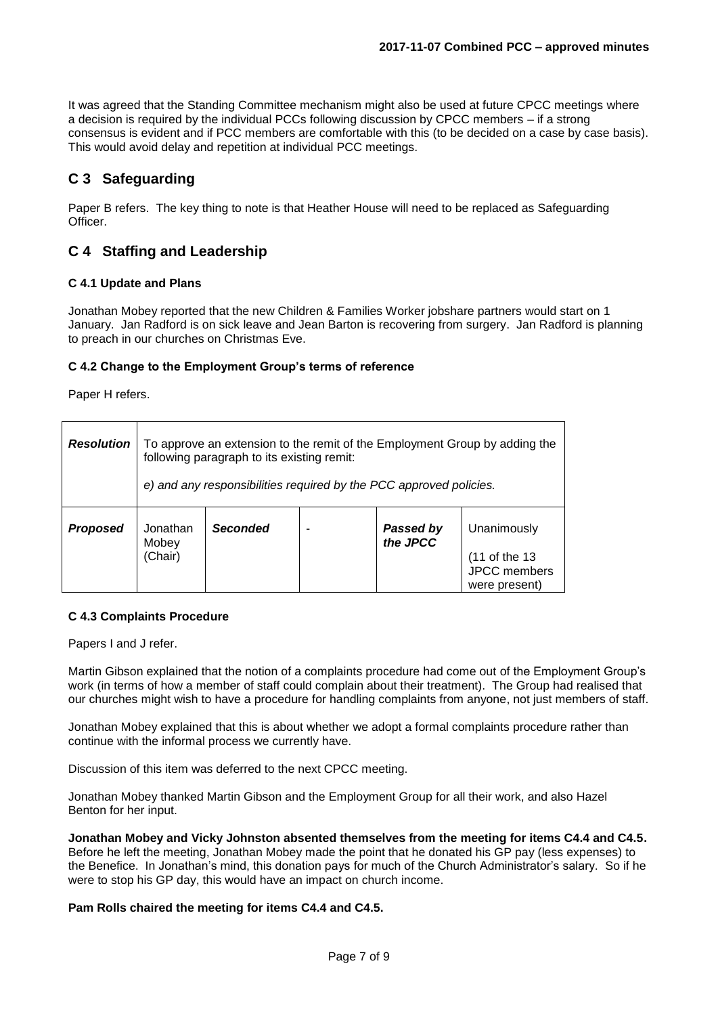It was agreed that the Standing Committee mechanism might also be used at future CPCC meetings where a decision is required by the individual PCCs following discussion by CPCC members – if a strong consensus is evident and if PCC members are comfortable with this (to be decided on a case by case basis). This would avoid delay and repetition at individual PCC meetings.

## **C 3 Safeguarding**

Paper B refers. The key thing to note is that Heather House will need to be replaced as Safeguarding **Officer** 

### **C 4 Staffing and Leadership**

#### **C 4.1 Update and Plans**

Jonathan Mobey reported that the new Children & Families Worker jobshare partners would start on 1 January. Jan Radford is on sick leave and Jean Barton is recovering from surgery. Jan Radford is planning to preach in our churches on Christmas Eve.

#### **C 4.2 Change to the Employment Group's terms of reference**

Paper H refers.

| <b>Resolution</b> | To approve an extension to the remit of the Employment Group by adding the<br>following paragraph to its existing remit:<br>e) and any responsibilities required by the PCC approved policies. |                 |  |                              |                                                                      |  |
|-------------------|------------------------------------------------------------------------------------------------------------------------------------------------------------------------------------------------|-----------------|--|------------------------------|----------------------------------------------------------------------|--|
| <b>Proposed</b>   | Jonathan<br>Mobey<br>(Chair)                                                                                                                                                                   | <b>Seconded</b> |  | <b>Passed by</b><br>the JPCC | Unanimously<br>(11 of the 13<br><b>JPCC</b> members<br>were present) |  |

#### **C 4.3 Complaints Procedure**

Papers I and J refer.

Martin Gibson explained that the notion of a complaints procedure had come out of the Employment Group's work (in terms of how a member of staff could complain about their treatment). The Group had realised that our churches might wish to have a procedure for handling complaints from anyone, not just members of staff.

Jonathan Mobey explained that this is about whether we adopt a formal complaints procedure rather than continue with the informal process we currently have.

Discussion of this item was deferred to the next CPCC meeting.

Jonathan Mobey thanked Martin Gibson and the Employment Group for all their work, and also Hazel Benton for her input.

**Jonathan Mobey and Vicky Johnston absented themselves from the meeting for items C4.4 and C4.5.**  Before he left the meeting, Jonathan Mobey made the point that he donated his GP pay (less expenses) to the Benefice. In Jonathan's mind, this donation pays for much of the Church Administrator's salary. So if he were to stop his GP day, this would have an impact on church income.

#### **Pam Rolls chaired the meeting for items C4.4 and C4.5.**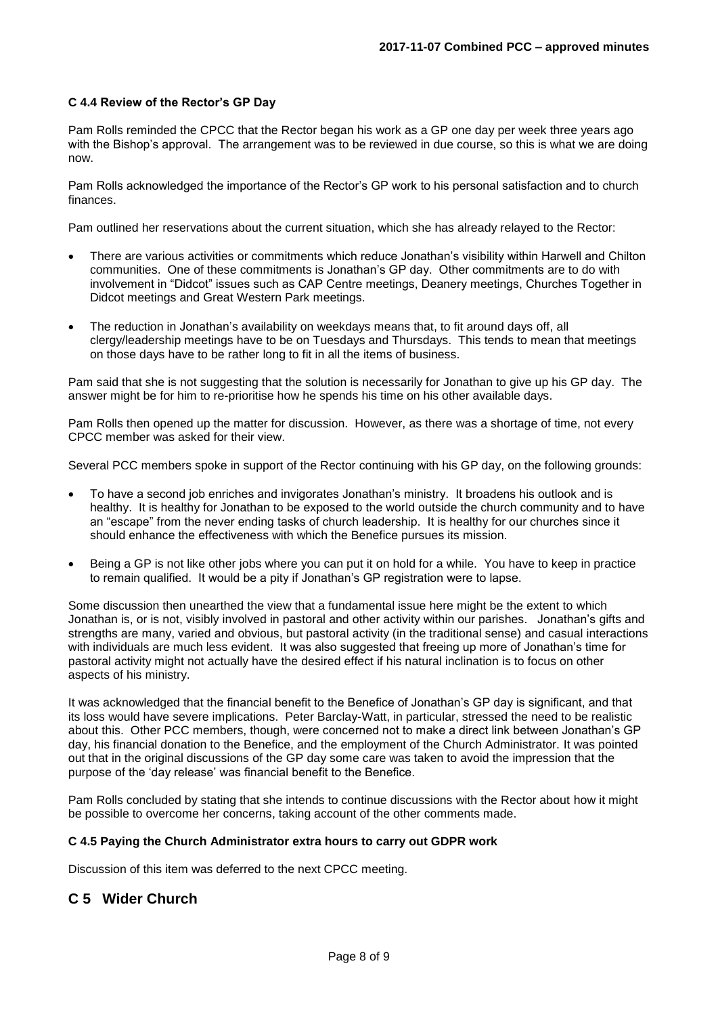#### **C 4.4 Review of the Rector's GP Day**

Pam Rolls reminded the CPCC that the Rector began his work as a GP one day per week three years ago with the Bishop's approval. The arrangement was to be reviewed in due course, so this is what we are doing now.

Pam Rolls acknowledged the importance of the Rector's GP work to his personal satisfaction and to church finances.

Pam outlined her reservations about the current situation, which she has already relayed to the Rector:

- There are various activities or commitments which reduce Jonathan's visibility within Harwell and Chilton communities. One of these commitments is Jonathan's GP day. Other commitments are to do with involvement in "Didcot" issues such as CAP Centre meetings, Deanery meetings, Churches Together in Didcot meetings and Great Western Park meetings.
- The reduction in Jonathan's availability on weekdays means that, to fit around days off, all clergy/leadership meetings have to be on Tuesdays and Thursdays. This tends to mean that meetings on those days have to be rather long to fit in all the items of business.

Pam said that she is not suggesting that the solution is necessarily for Jonathan to give up his GP day. The answer might be for him to re-prioritise how he spends his time on his other available days.

Pam Rolls then opened up the matter for discussion. However, as there was a shortage of time, not every CPCC member was asked for their view.

Several PCC members spoke in support of the Rector continuing with his GP day, on the following grounds:

- To have a second job enriches and invigorates Jonathan's ministry. It broadens his outlook and is healthy. It is healthy for Jonathan to be exposed to the world outside the church community and to have an "escape" from the never ending tasks of church leadership. It is healthy for our churches since it should enhance the effectiveness with which the Benefice pursues its mission.
- Being a GP is not like other jobs where you can put it on hold for a while. You have to keep in practice to remain qualified. It would be a pity if Jonathan's GP registration were to lapse.

Some discussion then unearthed the view that a fundamental issue here might be the extent to which Jonathan is, or is not, visibly involved in pastoral and other activity within our parishes. Jonathan's gifts and strengths are many, varied and obvious, but pastoral activity (in the traditional sense) and casual interactions with individuals are much less evident. It was also suggested that freeing up more of Jonathan's time for pastoral activity might not actually have the desired effect if his natural inclination is to focus on other aspects of his ministry.

It was acknowledged that the financial benefit to the Benefice of Jonathan's GP day is significant, and that its loss would have severe implications. Peter Barclay-Watt, in particular, stressed the need to be realistic about this. Other PCC members, though, were concerned not to make a direct link between Jonathan's GP day, his financial donation to the Benefice, and the employment of the Church Administrator. It was pointed out that in the original discussions of the GP day some care was taken to avoid the impression that the purpose of the 'day release' was financial benefit to the Benefice.

Pam Rolls concluded by stating that she intends to continue discussions with the Rector about how it might be possible to overcome her concerns, taking account of the other comments made.

#### **C 4.5 Paying the Church Administrator extra hours to carry out GDPR work**

Discussion of this item was deferred to the next CPCC meeting.

### **C 5 Wider Church**